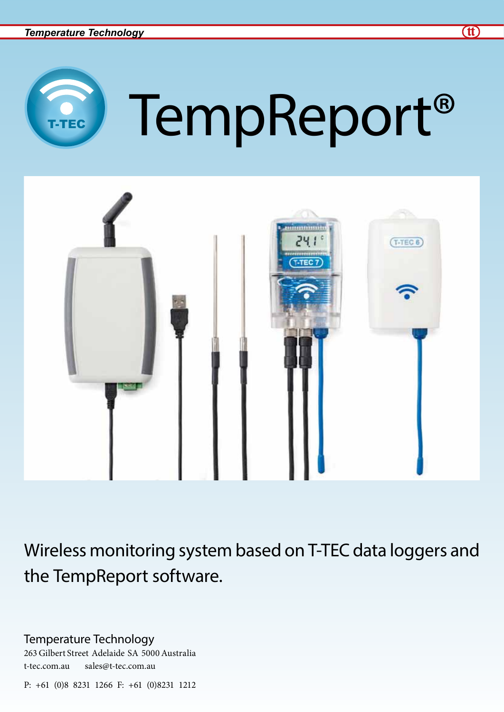

# TempReport®



Wireless monitoring system based on T-TEC data loggers and the TempReport software.

Temperature Technology

263 Gilbert Street Adelaide SA 5000 Australia t-tec.com.au sales@t-tec.com.au

P: +61 (0)8 8231 1266 F: +61 (0)8231 1212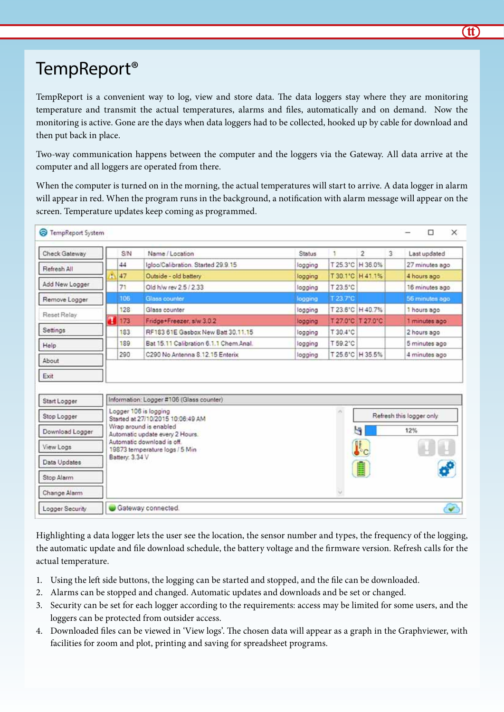# TempReport®

TempReport is a convenient way to log, view and store data. The data loggers stay where they are monitoring temperature and transmit the actual temperatures, alarms and files, automatically and on demand. Now the monitoring is active. Gone are the days when data loggers had to be collected, hooked up by cable for download and then put back in place.

Two-way communication happens between the computer and the loggers via the Gateway. All data arrive at the computer and all loggers are operated from there.

When the computer is turned on in the morning, the actual temperatures will start to arrive. A data logger in alarm will appear in red. When the program runs in the background, a notification with alarm message will appear on the screen. Temperature updates keep coming as programmed.

| Check Gateway                               |   | SIN             | Name / Location                                                                                 | <b>Status</b> | ÷                  | $\overline{2}$    | $\overline{3}$ | Last updated                    |
|---------------------------------------------|---|-----------------|-------------------------------------------------------------------------------------------------|---------------|--------------------|-------------------|----------------|---------------------------------|
| Refresh All                                 |   | 44              | Igloo/Calibration. Started 29.9.15                                                              | logging       |                    | T 25.3°C H 36.0%  |                | 27 minutes ago                  |
|                                             |   | 47              | Outside - old battery                                                                           | logging       |                    | T 30.1"C H 41.1%  |                | 4 hours ago                     |
| Add New Logger                              |   | 71              | Old h/w rev 2 5 / 2 33                                                                          | logging       | T 23 5'C           |                   |                | 16 minutes ago                  |
| Remove Logger                               |   | 106             | Glass counter                                                                                   | logging       | T 23 7*C           |                   |                | 56 minutes ago                  |
| Reset Relay                                 |   | 128             | Glass counter                                                                                   | logging       | T 23.6°C   H 40.7% |                   |                | 1 hours ago                     |
|                                             | ٦ | 1173            | Fridge+Freezer, a/w 3.0.2                                                                       | logging       |                    | T 27.0°C T 27.0°C |                | 1 minutes ago                   |
| Settings                                    |   | 183             | RF183 61E Gasbox New Batt 30.11.15                                                              | logging       | T 30.4"C           |                   |                | 2 hours ago                     |
| Help:                                       |   | 189             | Bat 15.11 Calibration 6.1.1 Chem Anal.                                                          | logging       | T 59.2°C           |                   |                | 5 minutes ago                   |
|                                             |   |                 | C290 No Antenna S.12.15 Enterix                                                                 | logging       |                    | T 25.6°C H 35.5%  |                | 4 minutes ago                   |
|                                             |   | 290             |                                                                                                 |               |                    |                   |                |                                 |
| About<br>Exit                               |   |                 |                                                                                                 |               |                    |                   |                |                                 |
| Start Logger                                |   |                 | Information: Logger #106 (Glass counter)<br>Logger 106 is logging                               |               |                    |                   |                |                                 |
|                                             |   |                 | Started at 27/10/2015 10:06:49 AM<br>Wrap around is enabled                                     |               |                    | ч                 |                | Refresh this logger only<br>12% |
| Stop Logger<br>Download Logger<br>View Logs |   |                 | Automatic update every 2 Hours.<br>Automatic download is off.<br>19873 temperature logs / 5 Min |               |                    |                   |                |                                 |
| Data Updates                                |   | Battery: 3.34 V |                                                                                                 |               |                    |                   |                |                                 |
| Stop Alarm                                  |   |                 |                                                                                                 |               |                    |                   |                |                                 |

Highlighting a data logger lets the user see the location, the sensor number and types, the frequency of the logging, the automatic update and file download schedule, the battery voltage and the firmware version. Refresh calls for the actual temperature.

- 1. Using the left side buttons, the logging can be started and stopped, and the file can be downloaded.
- 2. Alarms can be stopped and changed. Automatic updates and downloads and be set or changed.
- 3. Security can be set for each logger according to the requirements: access may be limited for some users, and the loggers can be protected from outsider access.
- 4. Downloaded files can be viewed in 'View logs'. The chosen data will appear as a graph in the Graphviewer, with facilities for zoom and plot, printing and saving for spreadsheet programs.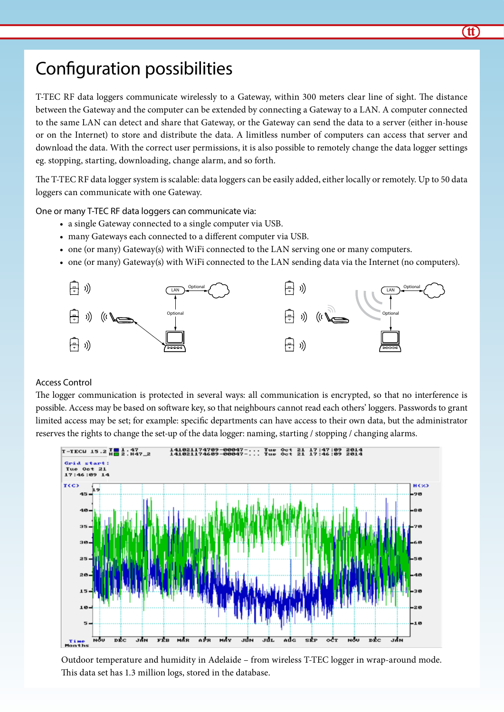# Configuration possibilities

T-TEC RF data loggers communicate wirelessly to a Gateway, within 300 meters clear line of sight. The distance between the Gateway and the computer can be extended by connecting a Gateway to a LAN. A computer connected to the same LAN can detect and share that Gateway, or the Gateway can send the data to a server (either in-house or on the Internet) to store and distribute the data. A limitless number of computers can access that server and download the data. With the correct user permissions, it is also possible to remotely change the data logger settings eg. stopping, starting, downloading, change alarm, and so forth.

The T-TEC RF data logger system is scalable: data loggers can be easily added, either locally or remotely. Up to 50 data loggers can communicate with one Gateway.

One or many T-TEC RF data loggers can communicate via:

- a single Gateway connected to a single computer via USB.
- many Gateways each connected to a different computer via USB.
- one (or many) Gateway(s) with WiFi connected to the LAN serving one or many computers.
- • one (or many) Gateway(s) with WiFi connected to the LAN sending data via the Internet (no computers).



#### Access Control

The logger communication is protected in several ways: all communication is encrypted, so that no interference is possible. Access may be based on software key, so that neighbours cannot read each others' loggers. Passwords to grant limited access may be set; for example: specific departments can have access to their own data, but the administrator reserves the rights to change the set-up of the data logger: naming, starting / stopping / changing alarms.



Outdoor temperature and humidity in Adelaide – from wireless T-TEC logger in wrap-around mode. This data set has 1.3 million logs, stored in the database.